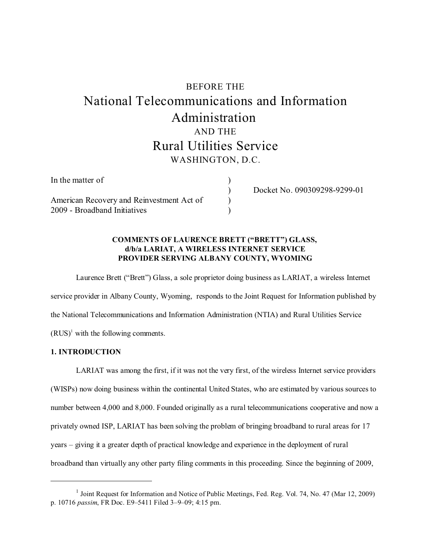# BEFORE THE National Telecommunications and Information Administration AND THE Rural Utilities Service WASHINGTON, D.C.

)

) )

| In the matter of                          |  |
|-------------------------------------------|--|
| American Recovery and Reinvestment Act of |  |
| 2009 - Broadband Initiatives              |  |

) Docket No. 090309298-9299-01

# **COMMENTS OF LAURENCE BRETT ("BRETT") GLASS, d/b/a LARIAT, A WIRELESS INTERNET SERVICE PROVIDER SERVING ALBANY COUNTY, WYOMING**

Laurence Brett ("Brett") Glass, a sole proprietor doing business as LARIAT, a wireless Internet service provider in Albany County, Wyoming, responds to the Joint Request for Information published by the National Telecommunications and Information Administration (NTIA) and Rural Utilities Service  $(RUS)^1$  with the following comments.

# **1. INTRODUCTION**

LARIAT was among the first, if it was not the very first, of the wireless Internet service providers (WISPs) now doing business within the continental United States, who are estimated by various sources to number between 4,000 and 8,000. Founded originally as a rural telecommunications cooperative and now a privately owned ISP, LARIAT has been solving the problem of bringing broadband to rural areas for 17 years – giving it a greater depth of practical knowledge and experience in the deployment of rural broadband than virtually any other party filing comments in this proceeding. Since the beginning of 2009,

<sup>&</sup>lt;sup>1</sup> Joint Request for Information and Notice of Public Meetings, Fed. Reg. Vol. 74, No. 47 (Mar 12, 2009) p. 10716 *passim*, FR Doc. E9–5411 Filed 3–9–09; 4:15 pm.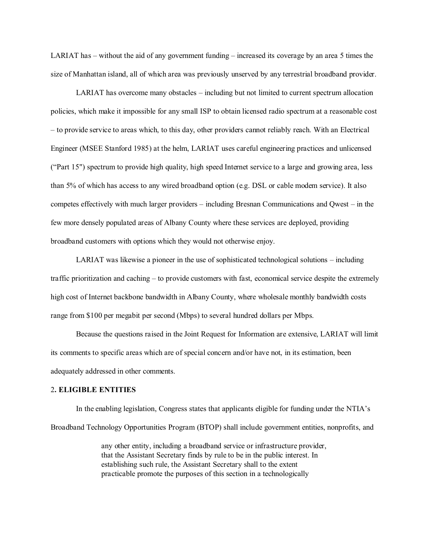LARIAT has – without the aid of any government funding – increased its coverage by an area 5 times the size of Manhattan island, all of which area was previously unserved by any terrestrial broadband provider.

LARIAT has overcome many obstacles – including but not limited to current spectrum allocation policies, which make it impossible for any small ISP to obtain licensed radio spectrum at a reasonable cost – to provide service to areas which, to this day, other providers cannot reliably reach. With an Electrical Engineer (MSEE Stanford 1985) at the helm, LARIAT uses careful engineering practices and unlicensed ("Part 15") spectrum to provide high quality, high speed Internet service to a large and growing area, less than 5% of which has access to any wired broadband option (e.g. DSL or cable modem service). It also competes effectively with much larger providers – including Bresnan Communications and Qwest – in the few more densely populated areas of Albany County where these services are deployed, providing broadband customers with options which they would not otherwise enjoy.

LARIAT was likewise a pioneer in the use of sophisticated technological solutions – including traffic prioritization and caching – to provide customers with fast, economical service despite the extremely high cost of Internet backbone bandwidth in Albany County, where wholesale monthly bandwidth costs range from \$100 per megabit per second (Mbps) to several hundred dollars per Mbps.

Because the questions raised in the Joint Request for Information are extensive, LARIAT will limit its comments to specific areas which are of special concern and/or have not, in its estimation, been adequately addressed in other comments.

#### 2**. ELIGIBLE ENTITIES**

In the enabling legislation, Congress states that applicants eligible for funding under the NTIA's Broadband Technology Opportunities Program (BTOP) shall include government entities, nonprofits, and

> any other entity, including a broadband service or infrastructure provider, that the Assistant Secretary finds by rule to be in the public interest. In establishing such rule, the Assistant Secretary shall to the extent practicable promote the purposes of this section in a technologically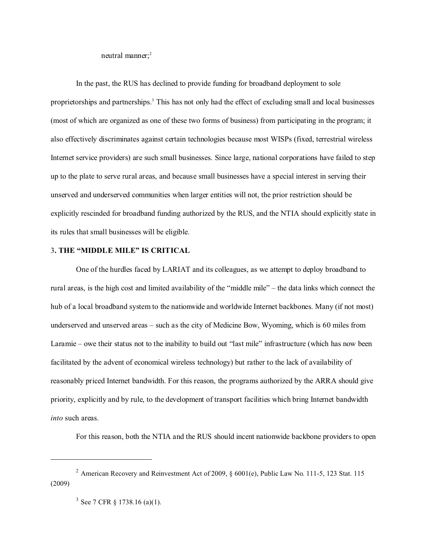neutral manner:<sup>2</sup>

In the past, the RUS has declined to provide funding for broadband deployment to sole proprietorships and partnerships.<sup>3</sup> This has not only had the effect of excluding small and local businesses (most of which are organized as one of these two forms of business) from participating in the program; it also effectively discriminates against certain technologies because most WISPs (fixed, terrestrial wireless Internet service providers) are such small businesses. Since large, national corporations have failed to step up to the plate to serve rural areas, and because small businesses have a special interest in serving their unserved and underserved communities when larger entities will not, the prior restriction should be explicitly rescinded for broadband funding authorized by the RUS, and the NTIA should explicitly state in its rules that small businesses will be eligible.

#### 3**. THE "MIDDLE MILE" IS CRITICAL**

One of the hurdles faced by LARIAT and its colleagues, as we attempt to deploy broadband to rural areas, is the high cost and limited availability of the "middle mile" – the data links which connect the hub of a local broadband system to the nationwide and worldwide Internet backbones. Many (if not most) underserved and unserved areas – such as the city of Medicine Bow, Wyoming, which is 60 miles from Laramie – owe their status not to the inability to build out "last mile" infrastructure (which has now been facilitated by the advent of economical wireless technology) but rather to the lack of availability of reasonably priced Internet bandwidth. For this reason, the programs authorized by the ARRA should give priority, explicitly and by rule, to the development of transport facilities which bring Internet bandwidth *into* such areas.

For this reason, both the NTIA and the RUS should incent nationwide backbone providers to open

<sup>&</sup>lt;sup>2</sup> American Recovery and Reinvestment Act of 2009, § 6001(e), Public Law No. 111-5, 123 Stat. 115 (2009)

 $3$  See 7 CFR § 1738.16 (a)(1).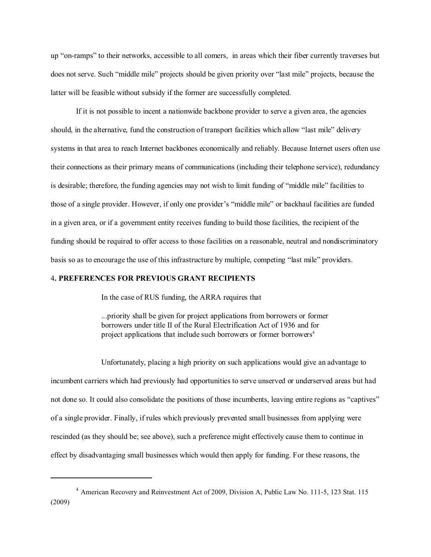up "on-ramps" to their networks, accessible to all comers, in areas which their fiber currently traverses but does not serve. Such "middle mile" projects should be given priority over "last mile" projects, because the latter will be feasible without subsidy if the former are successfully completed.

If it is not possible to incent a nationwide backbone provider to serve a given area, the agencies should, in the alternative, fund the construction of transport facilities which allow "last mile" delivery systems in that area to reach Internet backbones economically and reliably. Because Internet users often use their connections as their primary means of communications (including their telephone service), redundancy is desirable; therefore, the funding agencies may not wish to limit funding of "middle mile" facilities to those of a single provider. However, if only one provider's "middle mile" or backhaul facilities are funded in a given area, or if a government entity receives funding to build those facilities, the recipient of the funding should be required to offer access to those facilities on a reasonable, neutral and nondiscriminatory basis so as to encourage the use of this infrastructure by multiple, competing "last mile" providers.

## 4**. PREFERENCES FOR PREVIOUS GRANT RECIPIENTS**

In the case of RUS funding, the ARRA requires that

...priority shall be given for project applications from borrowers or former borrowers under title II of the Rural Electrification Act of 1936 and for project applications that include such borrowers or former borrowers<sup>4</sup>

Unfortunately, placing a high priority on such applications would give an advantage to incumbent carriers which had previously had opportunities to serve unserved or underserved areas but had not done so. It could also consolidate the positions of those incumbents, leaving entire regions as "captives" of a single provider. Finally, if rules which previously prevented small businesses from applying were rescinded (as they should be; see above), such a preference might effectively cause them to continue in effect by disadvantaging small businesses which would then apply for funding. For these reasons, the

<sup>4</sup> American Recovery and Reinvestment Act of 2009, Division A, Public Law No. 111-5, 123 Stat. 115 (2009)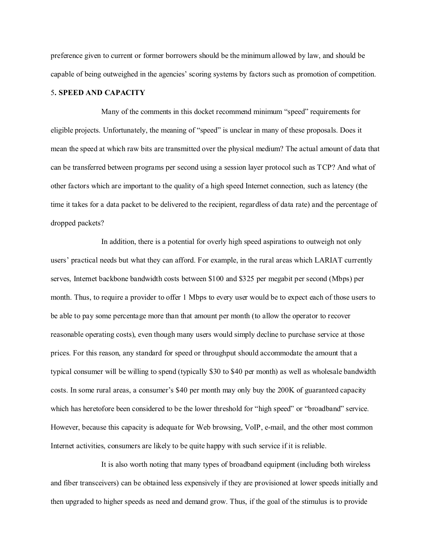preference given to current or former borrowers should be the minimum allowed by law, and should be capable of being outweighed in the agencies' scoring systems by factors such as promotion of competition.

## 5**. SPEED AND CAPACITY**

Many of the comments in this docket recommend minimum "speed" requirements for eligible projects. Unfortunately, the meaning of "speed" is unclear in many of these proposals. Does it mean the speed at which raw bits are transmitted over the physical medium? The actual amount of data that can be transferred between programs per second using a session layer protocol such as TCP? And what of other factors which are important to the quality of a high speed Internet connection, such as latency (the time it takes for a data packet to be delivered to the recipient, regardless of data rate) and the percentage of dropped packets?

In addition, there is a potential for overly high speed aspirations to outweigh not only users' practical needs but what they can afford. For example, in the rural areas which LARIAT currently serves, Internet backbone bandwidth costs between \$100 and \$325 per megabit per second (Mbps) per month. Thus, to require a provider to offer 1 Mbps to every user would be to expect each of those users to be able to pay some percentage more than that amount per month (to allow the operator to recover reasonable operating costs), even though many users would simply decline to purchase service at those prices. For this reason, any standard for speed or throughput should accommodate the amount that a typical consumer will be willing to spend (typically \$30 to \$40 per month) as well as wholesale bandwidth costs. In some rural areas, a consumer's \$40 per month may only buy the 200K of guaranteed capacity which has heretofore been considered to be the lower threshold for "high speed" or "broadband" service. However, because this capacity is adequate for Web browsing, VoIP, e-mail, and the other most common Internet activities, consumers are likely to be quite happy with such service if it is reliable.

It is also worth noting that many types of broadband equipment (including both wireless and fiber transceivers) can be obtained less expensively if they are provisioned at lower speeds initially and then upgraded to higher speeds as need and demand grow. Thus, if the goal of the stimulus is to provide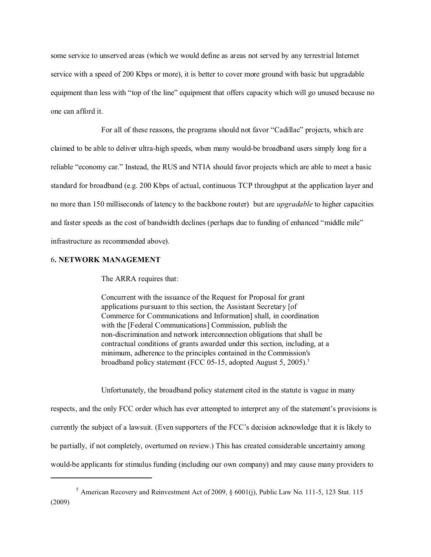some service to unserved areas (which we would define as areas not served by any terrestrial Internet service with a speed of 200 Kbps or more), it is better to cover more ground with basic but upgradable equipment than less with "top of the line" equipment that offers capacity which will go unused because no one can afford it.

For all of these reasons, the programs should not favor "Cadillac" projects, which are claimed to be able to deliver ultra-high speeds, when many would-be broadband users simply long for a reliable "economy car." Instead, the RUS and NTIA should favor projects which are able to meet a basic standard for broadband (e.g. 200 Kbps of actual, continuous TCP throughput at the application layer and no more than 150 milliseconds of latency to the backbone router) but are *upgradable* to higher capacities and faster speeds as the cost of bandwidth declines (perhaps due to funding of enhanced "middle mile" infrastructure as recommended above).

## 6**. NETWORK MANAGEMENT**

The ARRA requires that:

Concurrent with the issuance of the Request for Proposal for grant applications pursuant to this section, the Assistant Secretary [of Commerce for Communications and Information] shall, in coordination with the [Federal Communications] Commission, publish the non-discrimination and network interconnection obligations that shall be contractual conditions of grants awarded under this section, including, at a minimum, adherence to the principles contained in the Commission's broadband policy statement (FCC 05-15, adopted August 5, 2005).<sup>5</sup>

Unfortunately, the broadband policy statement cited in the statute is vague in many

respects, and the only FCC order which has ever attempted to interpret any of the statement's provisions is currently the subject of a lawsuit. (Even supporters of the FCC's decision acknowledge that it is likely to be partially, if not completely, overturned on review.) This has created considerable uncertainty among would-be applicants for stimulus funding (including our own company) and may cause many providers to

<sup>5</sup> American Recovery and Reinvestment Act of 2009, § 6001(j), Public Law No. 111-5, 123 Stat. 115 (2009)